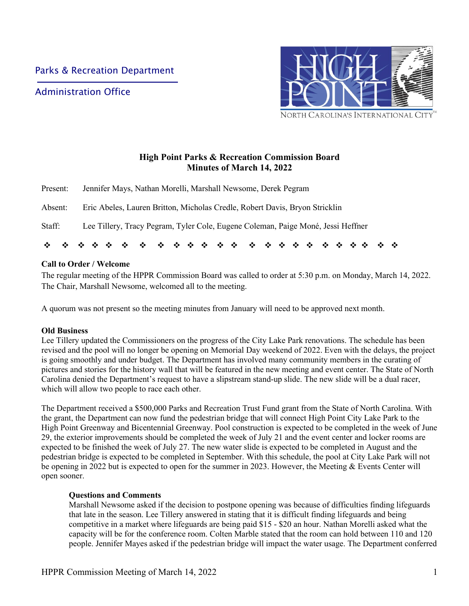Administration Office



# **High Point Parks & Recreation Commission Board Minutes of March 14, 2022**

| Staff:   | Lee Tillery, Tracy Pegram, Tyler Cole, Eugene Coleman, Paige Moné, Jessi Heffner |
|----------|----------------------------------------------------------------------------------|
| Absent:  | Eric Abeles, Lauren Britton, Micholas Credle, Robert Davis, Bryon Stricklin      |
| Present: | Jennifer Mays, Nathan Morelli, Marshall Newsome, Derek Pegram                    |

## **Call to Order / Welcome**

The regular meeting of the HPPR Commission Board was called to order at 5:30 p.m. on Monday, March 14, 2022. The Chair, Marshall Newsome, welcomed all to the meeting.

A quorum was not present so the meeting minutes from January will need to be approved next month.

#### **Old Business**

Lee Tillery updated the Commissioners on the progress of the City Lake Park renovations. The schedule has been revised and the pool will no longer be opening on Memorial Day weekend of 2022. Even with the delays, the project is going smoothly and under budget. The Department has involved many community members in the curating of pictures and stories for the history wall that will be featured in the new meeting and event center. The State of North Carolina denied the Department's request to have a slipstream stand-up slide. The new slide will be a dual racer, which will allow two people to race each other.

The Department received a \$500,000 Parks and Recreation Trust Fund grant from the State of North Carolina. With the grant, the Department can now fund the pedestrian bridge that will connect High Point City Lake Park to the High Point Greenway and Bicentennial Greenway. Pool construction is expected to be completed in the week of June 29, the exterior improvements should be completed the week of July 21 and the event center and locker rooms are expected to be finished the week of July 27. The new water slide is expected to be completed in August and the pedestrian bridge is expected to be completed in September. With this schedule, the pool at City Lake Park will not be opening in 2022 but is expected to open for the summer in 2023. However, the Meeting & Events Center will open sooner.

#### **Questions and Comments**

Marshall Newsome asked if the decision to postpone opening was because of difficulties finding lifeguards that late in the season. Lee Tillery answered in stating that it is difficult finding lifeguards and being competitive in a market where lifeguards are being paid \$15 - \$20 an hour. Nathan Morelli asked what the capacity will be for the conference room. Colten Marble stated that the room can hold between 110 and 120 people. Jennifer Mayes asked if the pedestrian bridge will impact the water usage. The Department conferred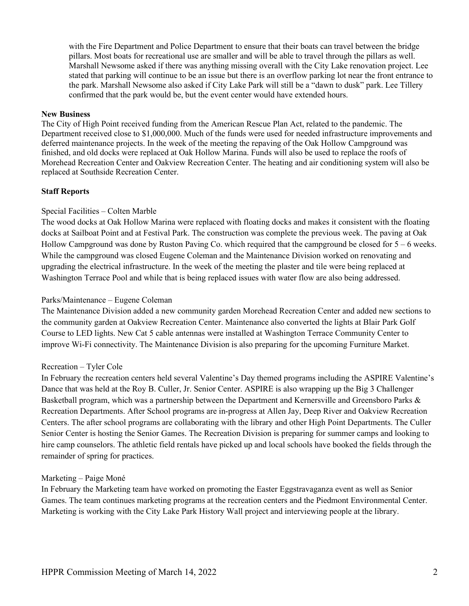with the Fire Department and Police Department to ensure that their boats can travel between the bridge pillars. Most boats for recreational use are smaller and will be able to travel through the pillars as well. Marshall Newsome asked if there was anything missing overall with the City Lake renovation project. Lee stated that parking will continue to be an issue but there is an overflow parking lot near the front entrance to the park. Marshall Newsome also asked if City Lake Park will still be a "dawn to dusk" park. Lee Tillery confirmed that the park would be, but the event center would have extended hours.

### **New Business**

The City of High Point received funding from the American Rescue Plan Act, related to the pandemic. The Department received close to \$1,000,000. Much of the funds were used for needed infrastructure improvements and deferred maintenance projects. In the week of the meeting the repaving of the Oak Hollow Campground was finished, and old docks were replaced at Oak Hollow Marina. Funds will also be used to replace the roofs of Morehead Recreation Center and Oakview Recreation Center. The heating and air conditioning system will also be replaced at Southside Recreation Center.

# **Staff Reports**

# Special Facilities – Colten Marble

The wood docks at Oak Hollow Marina were replaced with floating docks and makes it consistent with the floating docks at Sailboat Point and at Festival Park. The construction was complete the previous week. The paving at Oak Hollow Campground was done by Ruston Paving Co. which required that the campground be closed for 5 – 6 weeks. While the campground was closed Eugene Coleman and the Maintenance Division worked on renovating and upgrading the electrical infrastructure. In the week of the meeting the plaster and tile were being replaced at Washington Terrace Pool and while that is being replaced issues with water flow are also being addressed.

## Parks/Maintenance – Eugene Coleman

The Maintenance Division added a new community garden Morehead Recreation Center and added new sections to the community garden at Oakview Recreation Center. Maintenance also converted the lights at Blair Park Golf Course to LED lights. New Cat 5 cable antennas were installed at Washington Terrace Community Center to improve Wi-Fi connectivity. The Maintenance Division is also preparing for the upcoming Furniture Market.

### Recreation – Tyler Cole

In February the recreation centers held several Valentine's Day themed programs including the ASPIRE Valentine's Dance that was held at the Roy B. Culler, Jr. Senior Center. ASPIRE is also wrapping up the Big 3 Challenger Basketball program, which was a partnership between the Department and Kernersville and Greensboro Parks & Recreation Departments. After School programs are in-progress at Allen Jay, Deep River and Oakview Recreation Centers. The after school programs are collaborating with the library and other High Point Departments. The Culler Senior Center is hosting the Senior Games. The Recreation Division is preparing for summer camps and looking to hire camp counselors. The athletic field rentals have picked up and local schools have booked the fields through the remainder of spring for practices.

# Marketing – Paige Moné

In February the Marketing team have worked on promoting the Easter Eggstravaganza event as well as Senior Games. The team continues marketing programs at the recreation centers and the Piedmont Environmental Center. Marketing is working with the City Lake Park History Wall project and interviewing people at the library.